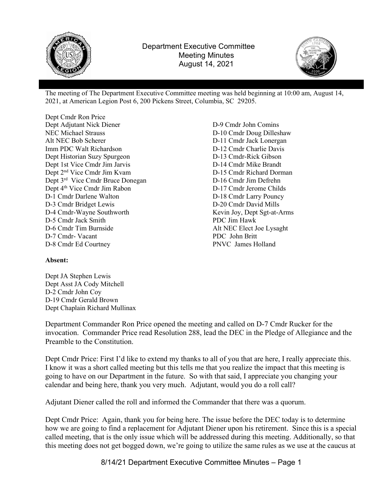



The meeting of The Department Executive Committee meeting was held beginning at 10:00 am, August 14, 2021, at American Legion Post 6, 200 Pickens Street, Columbia, SC 29205.

Dept Cmdr Ron Price Dept Adjutant Nick Diener NEC Michael Strauss Alt NEC Bob Scherer Imm PDC Walt Richardson Dept Historian Suzy Spurgeon Dept 1st Vice Cmdr Jim Jarvis Dept 2nd Vice Cmdr Jim Kvam Dept 3<sup>rd</sup> Vice Cmdr Bruce Donegan Dept 4<sup>th</sup> Vice Cmdr Jim Rabon D-1 Cmdr Darlene Walton D-3 Cmdr Bridget Lewis D-4 Cmdr-Wayne Southworth D-5 Cmdr Jack Smith D-6 Cmdr Tim Burnside D-7 Cmdr- Vacant D-8 Cmdr Ed Courtney

D-9 Cmdr John Comins D-10 Cmdr Doug Dilleshaw D-11 Cmdr Jack Lonergan D-12 Cmdr Charlie Davis D-13 Cmdr-Rick Gibson D-14 Cmdr Mike Brandt D-15 Cmdr Richard Dorman D-16 Cmdr Jim Defrehn D-17 Cmdr Jerome Childs D-18 Cmdr Larry Pouncy D-20 Cmdr David Mills Kevin Joy, Dept Sgt-at-Arms PDC Jim Hawk Alt NEC Elect Joe Lysaght PDC John Britt PNVC James Holland

## Absent:

Dept JA Stephen Lewis Dept Asst JA Cody Mitchell D-2 Cmdr John Coy D-19 Cmdr Gerald Brown Dept Chaplain Richard Mullinax

Department Commander Ron Price opened the meeting and called on D-7 Cmdr Rucker for the invocation. Commander Price read Resolution 288, lead the DEC in the Pledge of Allegiance and the Preamble to the Constitution.

Dept Cmdr Price: First I'd like to extend my thanks to all of you that are here, I really appreciate this. I know it was a short called meeting but this tells me that you realize the impact that this meeting is going to have on our Department in the future. So with that said, I appreciate you changing your calendar and being here, thank you very much. Adjutant, would you do a roll call?

Adjutant Diener called the roll and informed the Commander that there was a quorum.

Dept Cmdr Price: Again, thank you for being here. The issue before the DEC today is to determine how we are going to find a replacement for Adjutant Diener upon his retirement. Since this is a special called meeting, that is the only issue which will be addressed during this meeting. Additionally, so that this meeting does not get bogged down, we're going to utilize the same rules as we use at the caucus at

8/14/21 Department Executive Committee Minutes – Page 1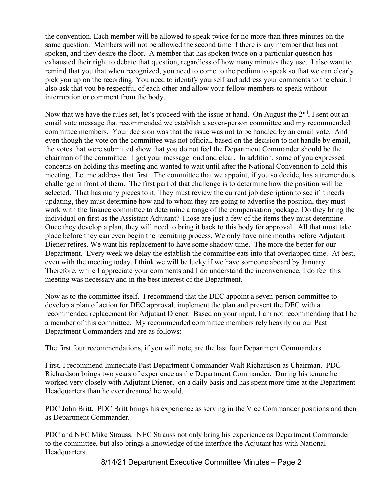the convention. Each member will be allowed to speak twice for no more than three minutes on the same question. Members will not be allowed the second time if there is any member that has not spoken, and they desire the floor. A member that has spoken twice on a particular question has exhausted their right to debate that question, regardless of how many minutes they use. I also want to remind that you that when recognized, you need to come to the podium to speak so that we can clearly pick you up on the recording. You need to identify yourself and address your comments to the chair. I also ask that you be respectful of each other and allow your fellow members to speak without interruption or comment from the body.

Now that we have the rules set, let's proceed with the issue at hand. On August the  $2<sup>nd</sup>$ , I sent out an email vote message that recommended we establish a seven-person committee and my recommended committee members. Your decision was that the issue was not to be handled by an email vote. And even though the vote on the committee was not official, based on the decision to not handle by email, the votes that were submitted show that you do not feel the Department Commander should be the chairman of the committee. I got your message loud and clear. In addition, some of you expressed concerns on holding this meeting and wanted to wait until after the National Convention to hold this meeting. Let me address that first. The committee that we appoint, if you so decide, has a tremendous challenge in front of them. The first part of that challenge is to determine how the position will be selected. That has many pieces to it. They must review the current job description to see if it needs updating, they must determine how and to whom they are going to advertise the position, they must work with the finance committee to determine a range of the compensation package. Do they bring the individual on first as the Assistant Adjutant? Those are just a few of the items they must determine. Once they develop a plan, they will need to bring it back to this body for approval. All that must take place before they can even begin the recruiting process. We only have nine months before Adjutant Diener retires. We want his replacement to have some shadow time. The more the better for our Department. Every week we delay the establish the committee eats into that overlapped time. At best, even with the meeting today, I think we will be lucky if we have someone aboard by January. Therefore, while I appreciate your comments and I do understand the inconvenience, I do feel this meeting was necessary and in the best interest of the Department.

Now as to the committee itself. I recommend that the DEC appoint a seven-person committee to develop a plan of action for DEC approval, implement the plan and present the DEC with a recommended replacement for Adjutant Diener. Based on your input, I am not recommending that I be a member of this committee. My recommended committee members rely heavily on our Past Department Commanders and are as follows:

The first four recommendations, if you will note, are the last four Department Commanders.

First, I recommend Immediate Past Department Commander Walt Richardson as Chairman. PDC Richardson brings two years of experience as the Department Commander. During his tenure he worked very closely with Adjutant Diener, on a daily basis and has spent more time at the Department Headquarters than he ever dreamed he would.

PDC John Britt. PDC Britt brings his experience as serving in the Vice Commander positions and then as Department Commander.

PDC and NEC Mike Strauss. NEC Strauss not only bring his experience as Department Commander to the committee, but also brings a knowledge of the interface the Adjutant has with National Headquarters.

8/14/21 Department Executive Committee Minutes – Page 2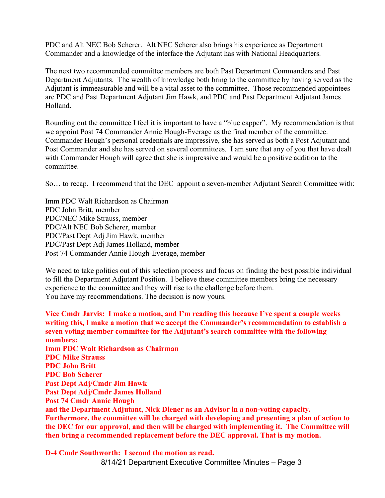PDC and Alt NEC Bob Scherer. Alt NEC Scherer also brings his experience as Department Commander and a knowledge of the interface the Adjutant has with National Headquarters.

The next two recommended committee members are both Past Department Commanders and Past Department Adjutants. The wealth of knowledge both bring to the committee by having served as the Adjutant is immeasurable and will be a vital asset to the committee. Those recommended appointees are PDC and Past Department Adjutant Jim Hawk, and PDC and Past Department Adjutant James Holland.

Rounding out the committee I feel it is important to have a "blue capper". My recommendation is that we appoint Post 74 Commander Annie Hough-Everage as the final member of the committee. Commander Hough's personal credentials are impressive, she has served as both a Post Adjutant and Post Commander and she has served on several committees. I am sure that any of you that have dealt with Commander Hough will agree that she is impressive and would be a positive addition to the committee.

So… to recap. I recommend that the DEC appoint a seven-member Adjutant Search Committee with:

Imm PDC Walt Richardson as Chairman PDC John Britt, member PDC/NEC Mike Strauss, member PDC/Alt NEC Bob Scherer, member PDC/Past Dept Adj Jim Hawk, member PDC/Past Dept Adj James Holland, member Post 74 Commander Annie Hough-Everage, member

We need to take politics out of this selection process and focus on finding the best possible individual to fill the Department Adjutant Position. I believe these committee members bring the necessary experience to the committee and they will rise to the challenge before them. You have my recommendations. The decision is now yours.

Vice Cmdr Jarvis: I make a motion, and I'm reading this because I've spent a couple weeks writing this, I make a motion that we accept the Commander's recommendation to establish a seven voting member committee for the Adjutant's search committee with the following members: Imm PDC Walt Richardson as Chairman PDC Mike Strauss PDC John Britt PDC Bob Scherer Past Dept Adj/Cmdr Jim Hawk Past Dept Adj/Cmdr James Holland Post 74 Cmdr Annie Hough and the Department Adjutant, Nick Diener as an Advisor in a non-voting capacity. Furthermore, the committee will be charged with developing and presenting a plan of action to the DEC for our approval, and then will be charged with implementing it. The Committee will then bring a recommended replacement before the DEC approval. That is my motion.

8/14/21 Department Executive Committee Minutes – Page 3 D-4 Cmdr Southworth: I second the motion as read.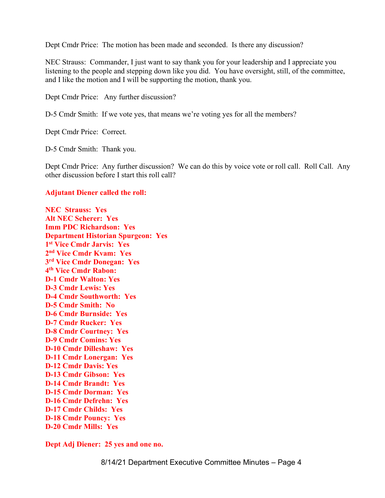Dept Cmdr Price: The motion has been made and seconded. Is there any discussion?

NEC Strauss: Commander, I just want to say thank you for your leadership and I appreciate you listening to the people and stepping down like you did. You have oversight, still, of the committee, and I like the motion and I will be supporting the motion, thank you.

Dept Cmdr Price: Any further discussion?

D-5 Cmdr Smith: If we vote yes, that means we're voting yes for all the members?

Dept Cmdr Price: Correct.

D-5 Cmdr Smith: Thank you.

Dept Cmdr Price: Any further discussion? We can do this by voice vote or roll call. Roll Call. Any other discussion before I start this roll call?

## Adjutant Diener called the roll:

NEC Strauss: Yes Alt NEC Scherer: Yes Imm PDC Richardson: Yes Department Historian Spurgeon: Yes 1 st Vice Cmdr Jarvis: Yes 2 nd Vice Cmdr Kvam: Yes 3 rd Vice Cmdr Donegan: Yes 4 th Vice Cmdr Rabon: D-1 Cmdr Walton: Yes D-3 Cmdr Lewis: Yes D-4 Cmdr Southworth: Yes D-5 Cmdr Smith: No D-6 Cmdr Burnside: Yes D-7 Cmdr Rucker: Yes D-8 Cmdr Courtney: Yes D-9 Cmdr Comins: Yes D-10 Cmdr Dilleshaw: Yes D-11 Cmdr Lonergan: Yes D-12 Cmdr Davis: Yes D-13 Cmdr Gibson: Yes D-14 Cmdr Brandt: Yes D-15 Cmdr Dorman: Yes D-16 Cmdr Defrehn: Yes D-17 Cmdr Childs: Yes D-18 Cmdr Pouncy: Yes D-20 Cmdr Mills: Yes

Dept Adj Diener: 25 yes and one no.